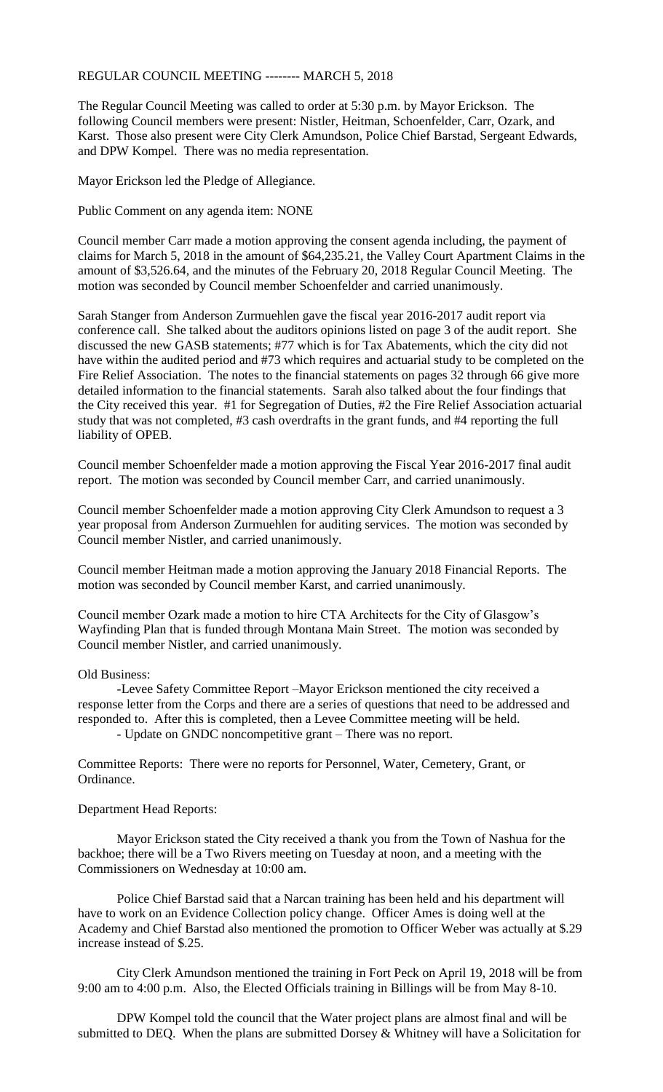REGULAR COUNCIL MEETING -------- MARCH 5, 2018

The Regular Council Meeting was called to order at 5:30 p.m. by Mayor Erickson. The following Council members were present: Nistler, Heitman, Schoenfelder, Carr, Ozark, and Karst. Those also present were City Clerk Amundson, Police Chief Barstad, Sergeant Edwards, and DPW Kompel. There was no media representation.

Mayor Erickson led the Pledge of Allegiance.

Public Comment on any agenda item: NONE

Council member Carr made a motion approving the consent agenda including, the payment of claims for March 5, 2018 in the amount of \$64,235.21, the Valley Court Apartment Claims in the amount of \$3,526.64, and the minutes of the February 20, 2018 Regular Council Meeting. The motion was seconded by Council member Schoenfelder and carried unanimously.

Sarah Stanger from Anderson Zurmuehlen gave the fiscal year 2016-2017 audit report via conference call. She talked about the auditors opinions listed on page 3 of the audit report. She discussed the new GASB statements; #77 which is for Tax Abatements, which the city did not have within the audited period and #73 which requires and actuarial study to be completed on the Fire Relief Association. The notes to the financial statements on pages 32 through 66 give more detailed information to the financial statements. Sarah also talked about the four findings that the City received this year. #1 for Segregation of Duties, #2 the Fire Relief Association actuarial study that was not completed, #3 cash overdrafts in the grant funds, and #4 reporting the full liability of OPEB.

Council member Schoenfelder made a motion approving the Fiscal Year 2016-2017 final audit report. The motion was seconded by Council member Carr, and carried unanimously.

Council member Schoenfelder made a motion approving City Clerk Amundson to request a 3 year proposal from Anderson Zurmuehlen for auditing services. The motion was seconded by Council member Nistler, and carried unanimously.

Council member Heitman made a motion approving the January 2018 Financial Reports. The motion was seconded by Council member Karst, and carried unanimously.

Council member Ozark made a motion to hire CTA Architects for the City of Glasgow's Wayfinding Plan that is funded through Montana Main Street. The motion was seconded by Council member Nistler, and carried unanimously.

## Old Business:

-Levee Safety Committee Report –Mayor Erickson mentioned the city received a response letter from the Corps and there are a series of questions that need to be addressed and responded to. After this is completed, then a Levee Committee meeting will be held. - Update on GNDC noncompetitive grant – There was no report.

Committee Reports: There were no reports for Personnel, Water, Cemetery, Grant, or Ordinance.

## Department Head Reports:

Mayor Erickson stated the City received a thank you from the Town of Nashua for the backhoe; there will be a Two Rivers meeting on Tuesday at noon, and a meeting with the Commissioners on Wednesday at 10:00 am.

Police Chief Barstad said that a Narcan training has been held and his department will have to work on an Evidence Collection policy change. Officer Ames is doing well at the Academy and Chief Barstad also mentioned the promotion to Officer Weber was actually at \$.29 increase instead of \$.25.

City Clerk Amundson mentioned the training in Fort Peck on April 19, 2018 will be from 9:00 am to 4:00 p.m. Also, the Elected Officials training in Billings will be from May 8-10.

DPW Kompel told the council that the Water project plans are almost final and will be submitted to DEQ. When the plans are submitted Dorsey & Whitney will have a Solicitation for